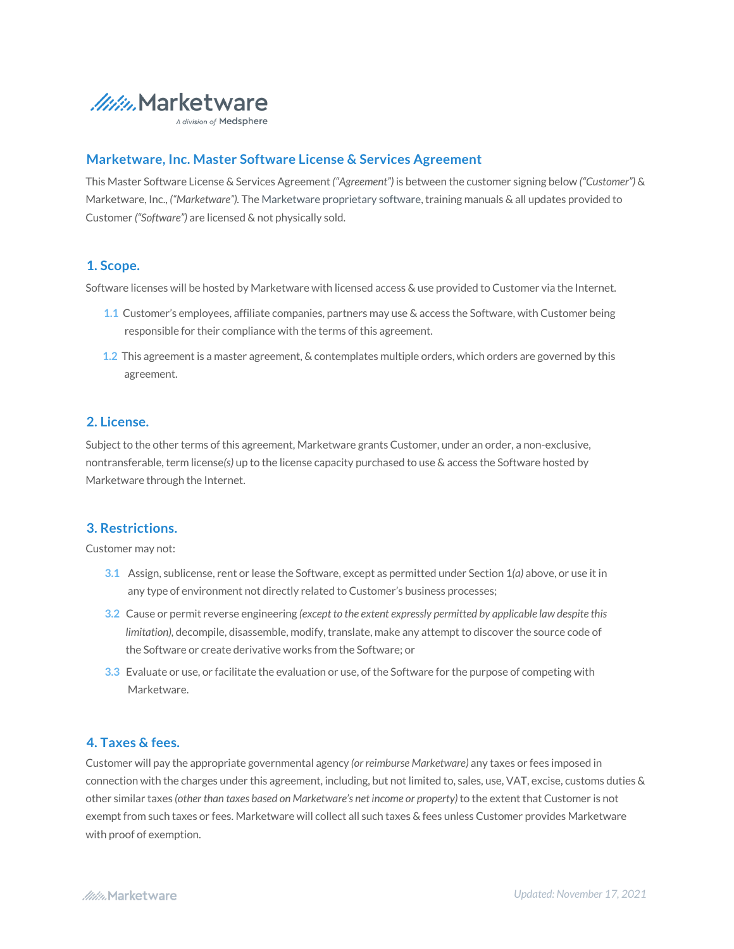

A division of Medsphere

# **Marketware, Inc. Master Software License & Services Agreement**

This Master Software License & Services Agreement *("Agreement")* is between the customer signing below *("Customer")* & Marketware, Inc., *("Marketware").* The Marketware proprietary software, training manuals & all updates provided to Customer *("Software")* are licensed & not physically sold.

## **1. Scope.**

Software licenses will be hosted by Marketware with licensed access & use provided to Customer via the Internet.

- **1.1** Customer's employees, affiliate companies, partners may use & access the Software, with Customer being responsible for their compliance with the terms of this agreement.
- **1.2** This agreement is a master agreement, & contemplates multiple orders, which orders are governed by this agreement.

# **2. License.**

Subject to the other terms of this agreement, Marketware grants Customer, under an order, a non-exclusive, nontransferable, term license*(s)* up to the license capacity purchased to use & access the Software hosted by Marketware through the Internet.

# **3. Restrictions.**

Customer may not:

- A. **3.1** Assign, sublicense, rent or lease the Software, except as permitted under Section 1*(a)* above, or use it in any type of environment not directly related to Customer's business processes;
- **3.2** Cause or permit reverse engineering *(except to the extent expressly permitted by applicable law despite this limitation),* decompile, disassemble, modify, translate, make any attempt to discover the source code of the Software or create derivative works from the Software; or
- **3.3** Evaluate or use, or facilitate the evaluation or use, of the Software for the purpose of competing with Marketware.

## **4. Taxes & fees.**

Customer will pay the appropriate governmental agency *(or reimburse Marketware)* any taxes or fees imposed in connection with the charges under this agreement, including, but not limited to, sales, use, VAT, excise, customs duties & other similar taxes *(other than taxes based on Marketware's net income or property)*to the extent that Customer is not exempt from such taxes or fees. Marketware will collect all such taxes & fees unless Customer provides Marketware with proof of exemption.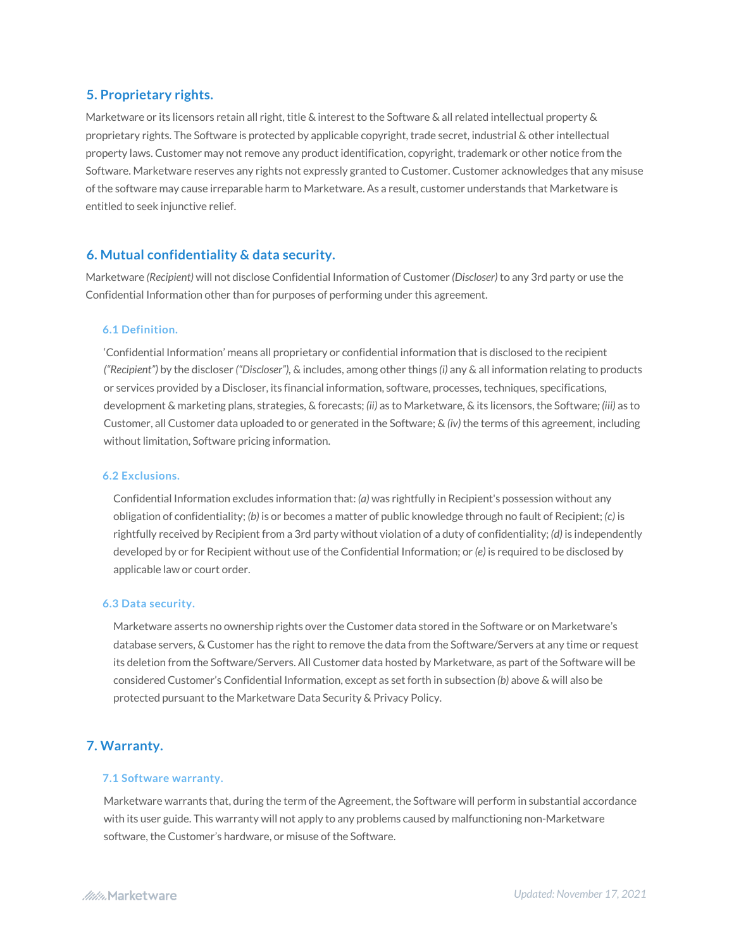# **5. Proprietary rights.**

Marketware or its licensors retain all right, title & interest to the Software & all related intellectual property & proprietary rights. The Software is protected by applicable copyright, trade secret, industrial & other intellectual property laws. Customer may not remove any product identification, copyright, trademark or other notice from the Software. Marketware reserves any rights not expressly granted to Customer. Customer acknowledges that any misuse of the software may cause irreparable harm to Marketware. As a result, customer understands that Marketware is entitled to seek injunctive relief.

## **6. Mutual confidentiality & data security.**

Marketware *(Recipient)* will not disclose Confidential Information of Customer *(Discloser)* to any 3rd party or use the Confidential Information other than for purposes of performing under this agreement.

#### **6.1 Definition.**

'Confidential Information' means all proprietary or confidential information that is disclosed to the recipient *("Recipient")* by the discloser *("Discloser"),* & includes, among other things *(i)* any & all information relating to products or services provided by a Discloser, its financial information, software, processes, techniques, specifications, development & marketing plans, strategies, & forecasts; *(ii)* as to Marketware, & its licensors, the Software*; (iii)* as to Customer, all Customer data uploaded to or generated in the Software; & *(iv)* the terms of this agreement, including without limitation, Software pricing information.

#### **6.2 Exclusions.**

Confidential Information excludes information that: *(a)* was rightfully in Recipient's possession without any obligation of confidentiality; *(b)* is or becomes a matter of public knowledge through no fault of Recipient; *(c)* is rightfully received by Recipient from a 3rd party without violation of a duty of confidentiality; *(d)* is independently developed by or for Recipient without use of the Confidential Information; or *(e)* is required to be disclosed by applicable law or court order.

#### **6.3 Data security.**

Marketware asserts no ownership rights over the Customer data stored in the Software or on Marketware's database servers, & Customer has the right to remove the data from the Software/Servers at any time or request its deletion from the Software/Servers. All Customer data hosted by Marketware, as part of the Software will be considered Customer's Confidential Information, except as set forth in subsection *(b)* above & will also be protected pursuant to the Marketware Data Security & Privacy Policy.

# **7. Warranty.**

#### **7.1 Software warranty.**

Marketware warrants that, during the term of the Agreement, the Software will perform in substantial accordance with its user guide. This warranty will not apply to any problems caused by malfunctioning non-Marketware software, the Customer's hardware, or misuse of the Software.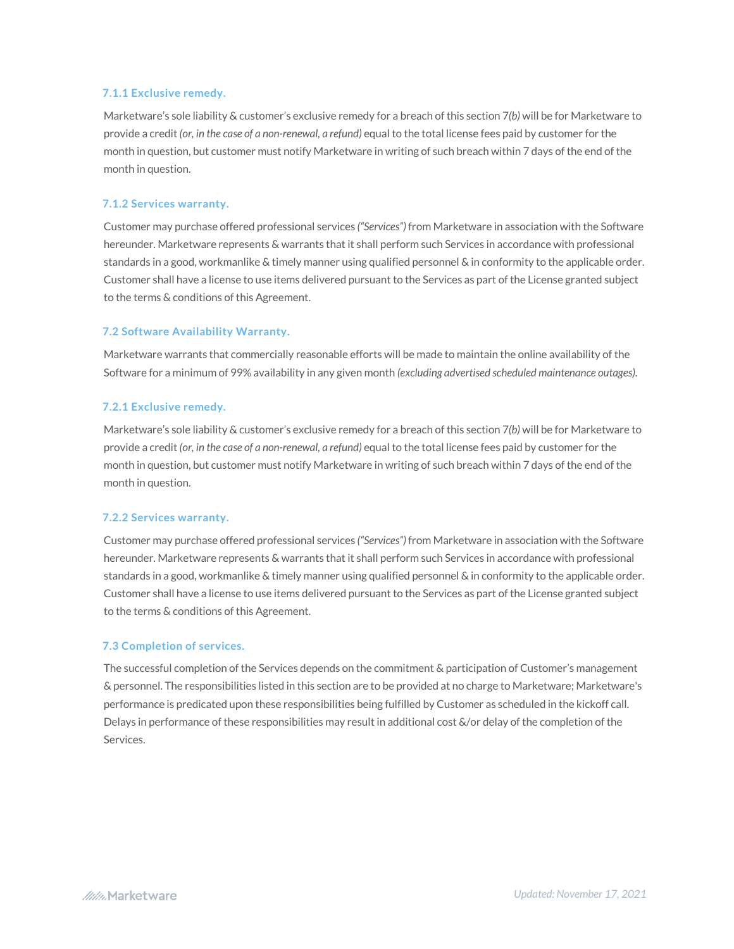### **7.1.1 Exclusive remedy.**

Marketware's sole liability & customer's exclusive remedy for a breach of this section 7*(b)* will be for Marketware to provide a credit *(or, in the case of a non-renewal, a refund)* equal to the total license fees paid by customer for the month in question, but customer must notify Marketware in writing of such breach within 7 days of the end of the month in question.

#### **7.1.2 Services warranty.**

Customer may purchase offered professional services *("Services")* from Marketware in association with the Software hereunder. Marketware represents & warrants that it shall perform such Services in accordance with professional standards in a good, workmanlike & timely manner using qualified personnel & in conformity to the applicable order. Customer shall have a license to use items delivered pursuant to the Services as part of the License granted subject to the terms & conditions of this Agreement.

### **7.2 Software Availability Warranty.**

Marketware warrants that commercially reasonable efforts will be made to maintain the online availability of the Software for a minimum of 99% availability in any given month *(excluding advertised scheduled maintenance outages).* 

#### **7.2.1 Exclusive remedy.**

Marketware's sole liability & customer's exclusive remedy for a breach of this section 7*(b)* will be for Marketware to provide a credit *(or, in the case of a non-renewal, a refund)* equal to the total license fees paid by customer for the month in question, but customer must notify Marketware in writing of such breach within 7 days of the end of the month in question.

## **7.2.2 Services warranty.**

Customer may purchase offered professional services *("Services")* from Marketware in association with the Software hereunder. Marketware represents & warrants that it shall perform such Services in accordance with professional standards in a good, workmanlike & timely manner using qualified personnel & in conformity to the applicable order. Customer shall have a license to use items delivered pursuant to the Services as part of the License granted subject to the terms & conditions of this Agreement.

### **7.3 Completion of services.**

The successful completion of the Services depends on the commitment & participation of Customer's management & personnel. The responsibilities listed in this section are to be provided at no charge to Marketware; Marketware's performance is predicated upon these responsibilities being fulfilled by Customer as scheduled in the kickoff call. Delays in performance of these responsibilities may result in additional cost &/or delay of the completion of the Services.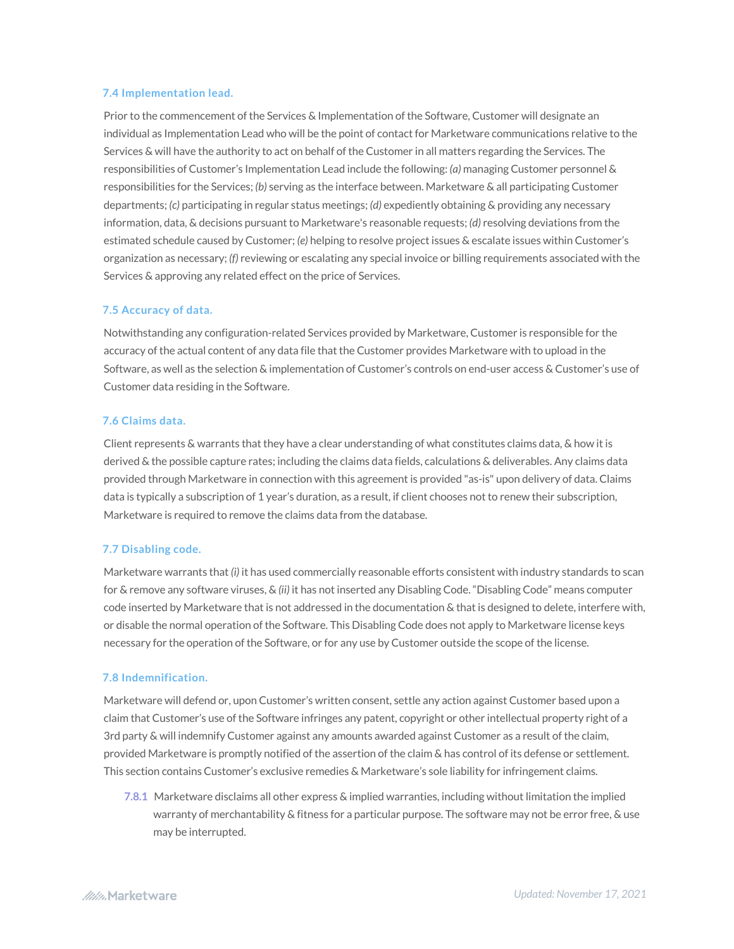### **7.4 Implementation lead.**

Prior to the commencement of the Services & Implementation of the Software, Customer will designate an individual as Implementation Lead who will be the point of contact for Marketware communications relative to the Services & will have the authority to act on behalf of the Customer in all matters regarding the Services. The responsibilities of Customer's Implementation Lead include the following: *(a)* managing Customer personnel & responsibilities for the Services; *(b)* serving as the interface between. Marketware & all participating Customer departments; *(c)* participating in regular status meetings; *(d)* expediently obtaining & providing any necessary information, data, & decisions pursuant to Marketware's reasonable requests; *(d)* resolving deviations from the estimated schedule caused by Customer; *(e)* helping to resolve project issues & escalate issues within Customer's organization as necessary; *(f)* reviewing or escalating any special invoice or billing requirements associated with the Services & approving any related effect on the price of Services.

### **7.5 Accuracy of data.**

Notwithstanding any configuration-related Services provided by Marketware, Customer is responsible for the accuracy of the actual content of any data file that the Customer provides Marketware with to upload in the Software, as well as the selection & implementation of Customer's controls on end-user access & Customer's use of Customer data residing in the Software.

#### **7.6 Claims data.**

Client represents & warrants that they have a clear understanding of what constitutes claims data, & how it is derived & the possible capture rates; including the claims data fields, calculations & deliverables. Any claims data provided through Marketware in connection with this agreement is provided "as-is" upon delivery of data. Claims data is typically a subscription of 1 year's duration, as a result, if client chooses not to renew their subscription, Marketware is required to remove the claims data from the database.

#### **7.7 Disabling code.**

Marketware warrants that *(i)* it has used commercially reasonable efforts consistent with industry standards to scan for & remove any software viruses, & *(ii)* it has not inserted any Disabling Code. "Disabling Code" means computer code inserted by Marketware that is not addressed in the documentation & that is designed to delete, interfere with, or disable the normal operation of the Software. This Disabling Code does not apply to Marketware license keys necessary for the operation of the Software, or for any use by Customer outside the scope of the license.

#### **7.8 Indemnification.**

Marketware will defend or, upon Customer's written consent, settle any action against Customer based upon a claim that Customer's use of the Software infringes any patent, copyright or other intellectual property right of a 3rd party & will indemnify Customer against any amounts awarded against Customer as a result of the claim, provided Marketware is promptly notified of the assertion of the claim & has control of its defense or settlement. This section contains Customer's exclusive remedies & Marketware's sole liability for infringement claims.

**7.8.1** Marketware disclaims all other express & implied warranties, including without limitation the implied warranty of merchantability & fitness for a particular purpose. The software may not be error free, & use may be interrupted.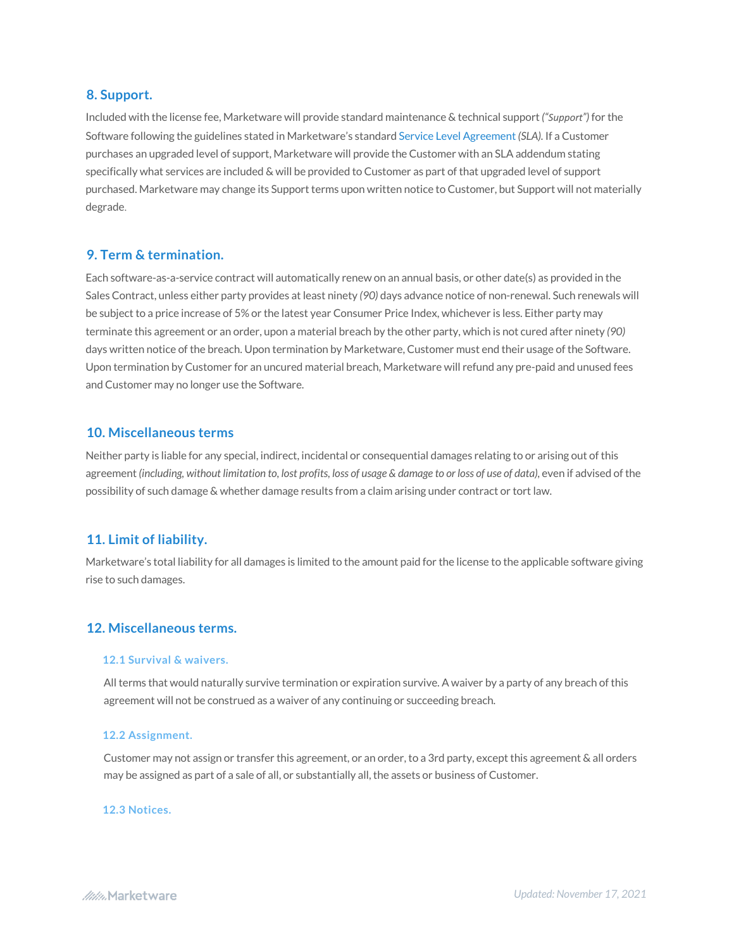## **8. Support.**

Included with the license fee, Marketware will provide standard maintenance & technical support *("Support")* for the Software following the guidelines stated in Marketware's standard Service Level Agreement*(SLA).* If a Customer purchases an upgraded level of support, Marketware will provide the Customer with an SLA addendum stating specifically what services are included & will be provided to Customer as part of that upgraded level of support purchased. Marketware may change its Support terms upon written notice to Customer, but Support will not materially degrade.

## **9. Term & termination.**

Each software-as-a-service contract will automatically renew on an annual basis, or other date(s) as provided in the Sales Contract, unless either party provides at least ninety *(90)* days advance notice of non-renewal. Such renewals will be subject to a price increase of 5% or the latest year Consumer Price Index, whichever is less. Either party may terminate this agreement or an order, upon a material breach by the other party, which is not cured after ninety *(90)* days written notice of the breach. Upon termination by Marketware, Customer must end their usage of the Software. Upon termination by Customer for an uncured material breach, Marketware will refund any pre-paid and unused fees and Customer may no longer use the Software.

## **10. Miscellaneous terms**

Neither party is liable for any special, indirect, incidental or consequential damages relating to or arising out of this agreement *(including, without limitation to, lost profits, loss of usage & damage to or loss of use of data),* even if advised of the possibility of such damage & whether damage results from a claim arising under contract or tort law.

# **11. Limit of liability.**

Marketware's total liability for all damages is limited to the amount paid for the license to the applicable software giving rise to such damages.

## **12. Miscellaneous terms.**

#### **12.1 Survival & waivers.**

All terms that would naturally survive termination or expiration survive. A waiver by a party of any breach of this agreement will not be construed as a waiver of any continuing or succeeding breach.

#### **12.2 Assignment.**

Customer may not assign or transfer this agreement, or an order, to a 3rd party, except this agreement & all orders may be assigned as part of a sale of all, or substantially all, the assets or business of Customer.

#### **12.3 Notices.**